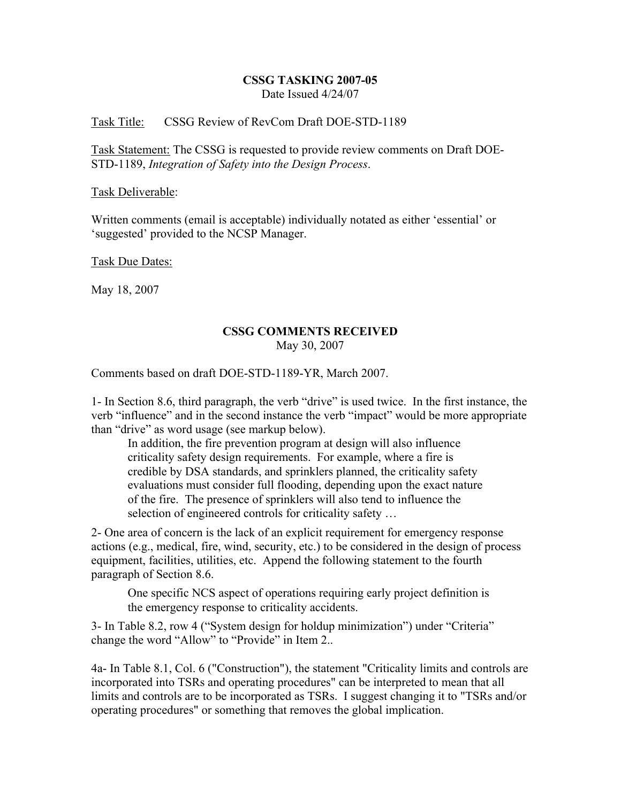## CSSG TASKING 2007-05 Date Issued 4/24/07

## Task Title: CSSG Review of RevCom Draft DOE-STD-1189

Task Statement: The CSSG is requested to provide review comments on Draft DOE-STD-1189, *Integration of Safety into the Design Process*.

## Task Deliverable:

Written comments (email is acceptable) individually notated as either 'essential' or 'suggested' provided to the NCSP Manager.

Task Due Dates:

May 18, 2007

## CSSG COMMENTS RECEIVED May 30, 2007

Comments based on draft DOE-STD-1189-YR, March 2007.

1- In Section 8.6, third paragraph, the verb "drive" is used twice. In the first instance, the verb "influence" and in the second instance the verb "impact" would be more appropriate than "drive" as word usage (see markup below).

In addition, the fire prevention program at design will also influence criticality safety design requirements. For example, where a fire is credible by DSA standards, and sprinklers planned, the criticality safety evaluations must consider full flooding, depending upon the exact nature of the fire. The presence of sprinklers will also tend to influence the selection of engineered controls for criticality safety …

2- One area of concern is the lack of an explicit requirement for emergency response actions (e.g., medical, fire, wind, security, etc.) to be considered in the design of process equipment, facilities, utilities, etc. Append the following statement to the fourth paragraph of Section 8.6.

One specific NCS aspect of operations requiring early project definition is the emergency response to criticality accidents.

3- In Table 8.2, row 4 ("System design for holdup minimization") under "Criteria" change the word "Allow" to "Provide" in Item 2..

4a- In Table 8.1, Col. 6 ("Construction"), the statement "Criticality limits and controls are incorporated into TSRs and operating procedures" can be interpreted to mean that all limits and controls are to be incorporated as TSRs. I suggest changing it to "TSRs and/or operating procedures" or something that removes the global implication.